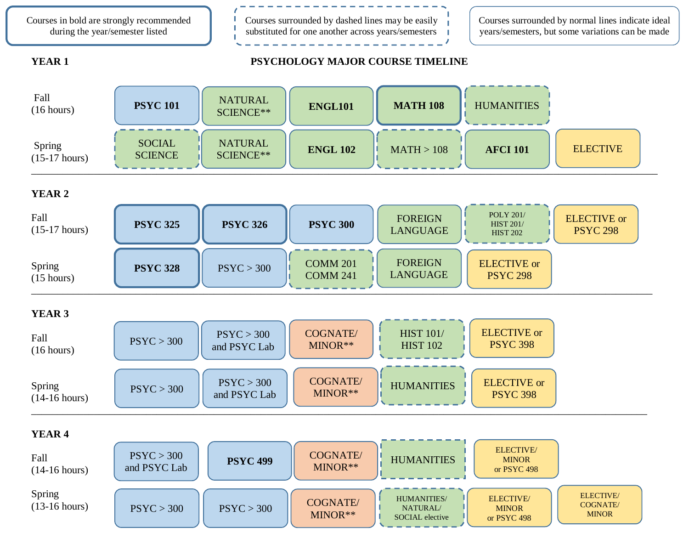Courses in bold are strongly recommended during the year/semester listed

Courses surrounded by dashed lines may be easily substituted for one another across years/semesters Courses surrounded by normal lines indicate ideal years/semesters, but some variations can be made

## **YEAR 1 PSYCHOLOGY MAJOR COURSE TIMELINE**



# **YEAR 2**

| Fall<br>$(15-17 \text{ hours})$ | <b>PSYC 325</b> | <b>PSYC 326</b> | <b>PSYC 300</b>                    | <b>FOREIGN</b><br>LANGUAGE        | <b>POLY 201/</b><br><b>HIST 201/</b><br><b>HIST 202</b> | <b>ELECTIVE</b> or<br><b>PSYC 298</b> |
|---------------------------------|-----------------|-----------------|------------------------------------|-----------------------------------|---------------------------------------------------------|---------------------------------------|
| Spring<br>$(15 \text{ hours})$  | <b>PSYC 328</b> | PSYC > 300      | <b>COMM 201</b><br><b>COMM 241</b> | <b>FOREIGN</b><br><b>LANGUAGE</b> | <b>ELECTIVE</b> or<br><b>PSYC 298</b>                   |                                       |

# **YEAR 3**



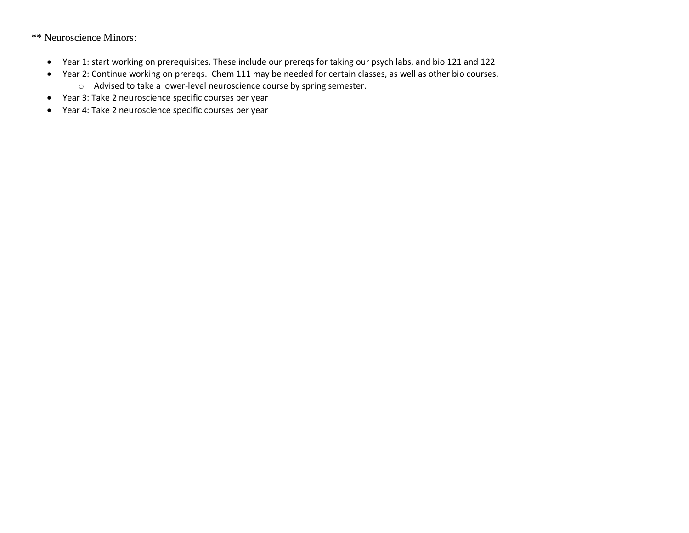\*\* Neuroscience Minors:

- Year 1: start working on prerequisites. These include our prereqs for taking our psych labs, and bio 121 and 122
- Year 2: Continue working on prereqs. Chem 111 may be needed for certain classes, as well as other bio courses.
	- o Advised to take a lower-level neuroscience course by spring semester.
- Year 3: Take 2 neuroscience specific courses per year
- Year 4: Take 2 neuroscience specific courses per year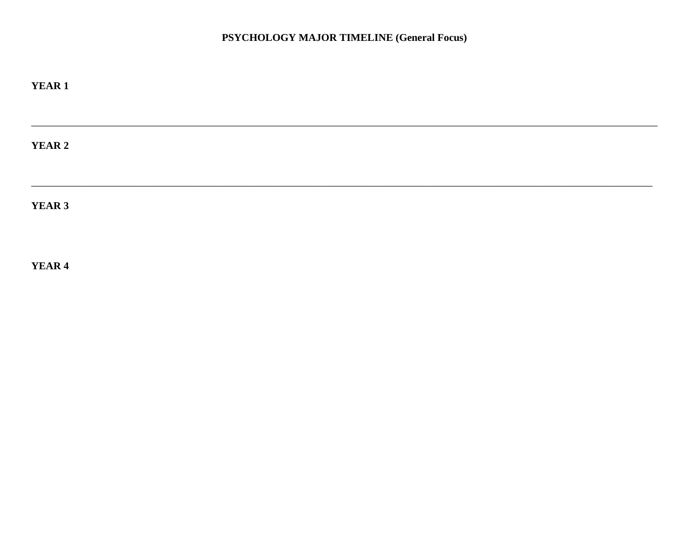# PSYCHOLOGY MAJOR TIMELINE (General Focus)

| <b>YEAR 1</b> |  |  |  |
|---------------|--|--|--|
|               |  |  |  |
| <b>YEAR 2</b> |  |  |  |
| YEAR 3        |  |  |  |

YEAR 4